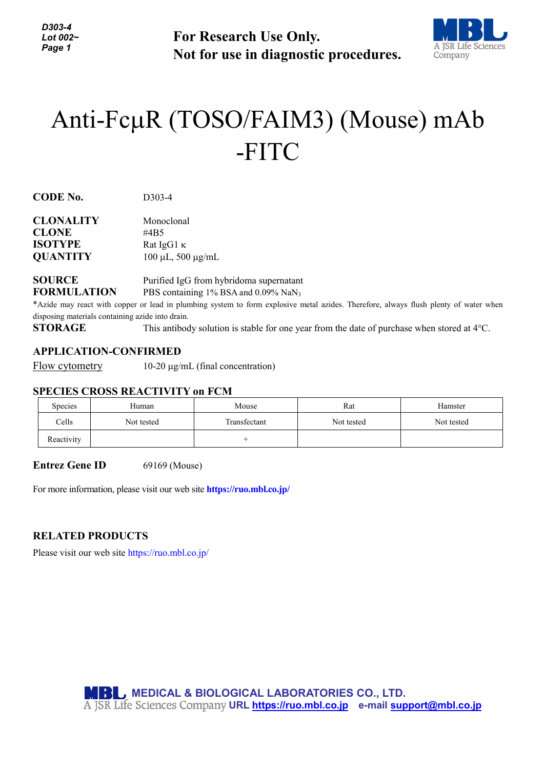**For Research Use Only. Not for use in diagnostic procedures.**



# Anti-FcµR (TOSO/FAIM3) (Mouse) mAb -FITC

**CODE No.** D303-4

| Monoclonal                   |
|------------------------------|
| #4B5                         |
| Rat IgG1 $\kappa$            |
| $100 \mu L$ , 500 $\mu$ g/mL |
|                              |

## **SOURCE** Purified IgG from hybridoma supernatant **FORMULATION** PBS containing 1% BSA and 0.09% NaN<sub>3</sub>

\*Azide may react with copper or lead in plumbing system to form explosive metal azides. Therefore, always flush plenty of water when disposing materials containing azide into drain.

**STORAGE** This antibody solution is stable for one year from the date of purchase when stored at 4°C.

### **APPLICATION-CONFIRMED**

Flow cytometry 10-20 µg/mL (final concentration)

#### **SPECIES CROSS REACTIVITY on FCM**

| Species    | Human      | Mouse        | Rat        | Hamster    |
|------------|------------|--------------|------------|------------|
| Cells      | Not tested | Transfectant | Not tested | Not tested |
| Reactivity |            |              |            |            |

**Entrez Gene ID** 69169 (Mouse)

For more information, please visit our web site **https://ruo.mbl.co.jp/**

#### **RELATED PRODUCTS**

Please visit our web site<https://ruo.mbl.co.jp/>